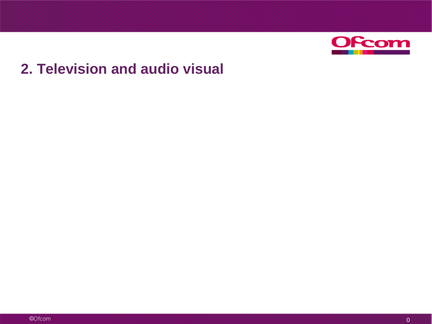

## **2. Television and audio visual**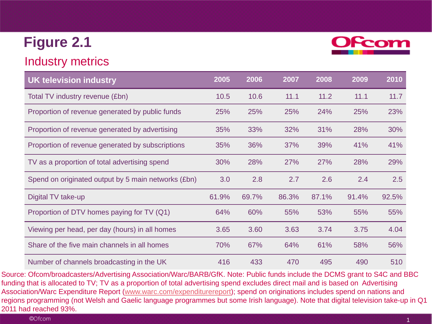### Industry metrics



Source: Ofcom/broadcasters/Advertising Association/Warc/BARB/GfK. Note: Public funds include the DCMS grant to S4C and BBC funding that is allocated to TV; TV as a proportion of total advertising spend excludes direct mail and is based on Advertising Association/Warc Expenditure Report ([www.warc.com/expenditurereport](http://www.warc.com/expenditurereport)); spend on originations includes spend on nations and regions programming (not Welsh and Gaelic language programmes but some Irish language). Note that digital television take-up in Q1 2011 had reached 93%.

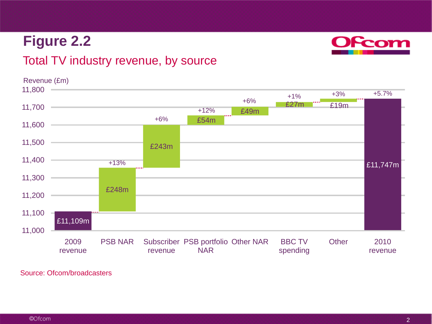### Total TV industry revenue, by source

£11,109m £11,747m £248m £243m £54m £49m £27m £19m 11,000 11,100 11,200 11,300 11,400 11,500 11,600 11,700 11,800 2009 revenue PSB NAR Subscriber PSB portfolio Other NAR BBC TV revenue NAR spending Other 2010 revenue +6% +1% Revenue (£m) +3% +13% +12% +6% +5.7%

Source: Ofcom/broadcasters

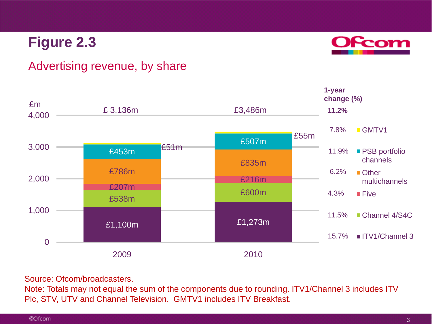

### Advertising revenue, by share



#### Source: Ofcom/broadcasters.

Note: Totals may not equal the sum of the components due to rounding. ITV1/Channel 3 includes ITV Plc, STV, UTV and Channel Television. GMTV1 includes ITV Breakfast.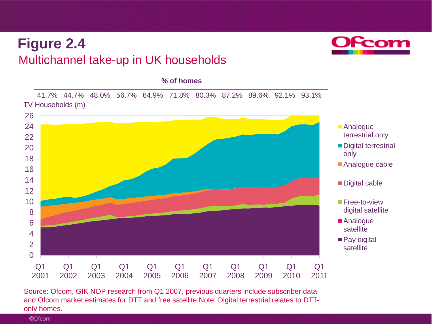## Multichannel take-up in UK households **Figure 2.4**

 $\overline{0}$ 2 4 6 8 10 12 14 16 18 20 22 24 26 Q1 2001 Q1 2002 Q1 2003 Q1 2004 Q1 2005 Q1 2006 Q1 2007 Q1 2008 Q1 2009 Q1 2010 Q1 2011 ■ Analogue terrestrial only Digital terrestrial only ■ Analogue cable Digital cable **Free-to-view** digital satellite ■ Analogue satellite ■ Pay digital satellite TV Households (m) 41.7% 44.7% 48.0% 56.7% 64.9% 71.8% 80.3% 87.2% 89.6% 92.1% 93.1% **% of homes**

Source: Ofcom, GfK NOP research from Q1 2007, previous quarters include subscriber data and Ofcom market estimates for DTT and free satellite Note: Digital terrestrial relates to DTTonly homes.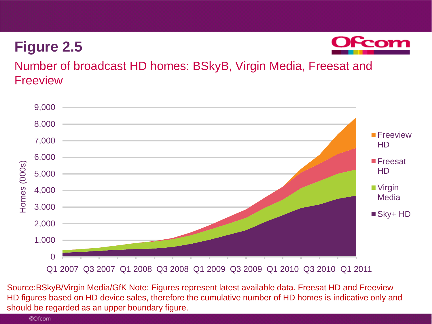

Number of broadcast HD homes: BSkyB, Virgin Media, Freesat and Freeview



5 should be regarded as an upper boundary figure. Source:BSkyB/Virgin Media/GfK Note: Figures represent latest available data. Freesat HD and Freeview HD figures based on HD device sales, therefore the cumulative number of HD homes is indicative only and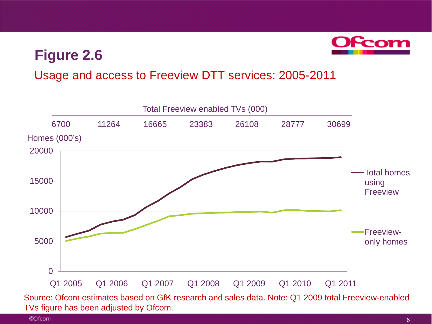

### Usage and access to Freeview DTT services: 2005-2011



TVs figure has been adjusted by Ofcom.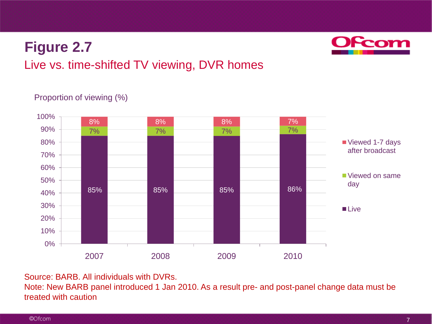

## Live vs. time-shifted TV viewing, DVR homes

#### Proportion of viewing (%)



Source: BARB. All individuals with DVRs.

Note: New BARB panel introduced 1 Jan 2010. As a result pre- and post-panel change data must be treated with caution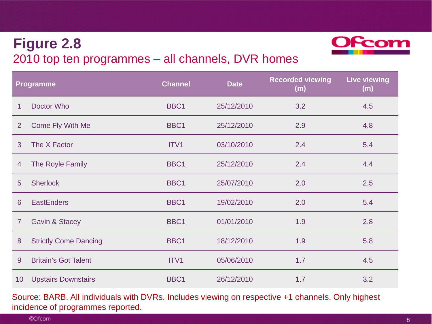## 2010 top ten programmes – all channels, DVR homes **Figure 2.8**



Source: BARB. All individuals with DVRs. Includes viewing on respective +1 channels. Only highest incidence of programmes reported.

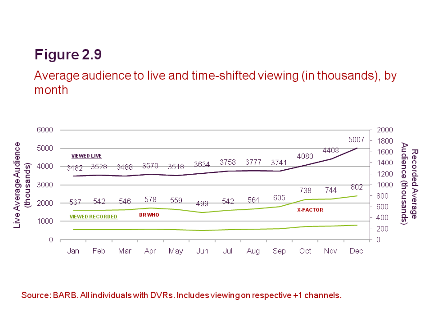Average audience to live and time-shifted viewing (in thousands), by month



Source: BARB. All individuals with DVRs. Includes viewing on respective +1 channels.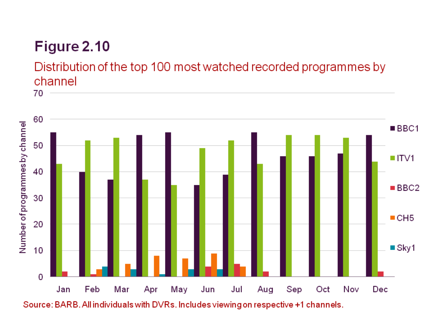Distribution of the top 100 most watched recorded programmes by channel

70



Source: BARB. All individuals with DVRs. Includes viewing on respective +1 channels.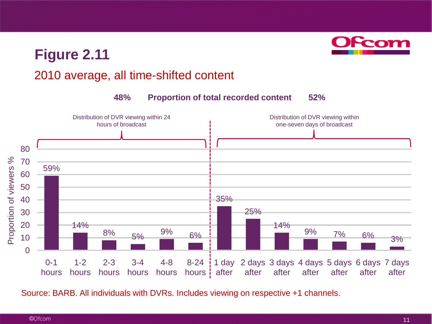

### 2010 average, all time-shifted content



Source: BARB. All individuals with DVRs. Includes viewing on respective +1 channels.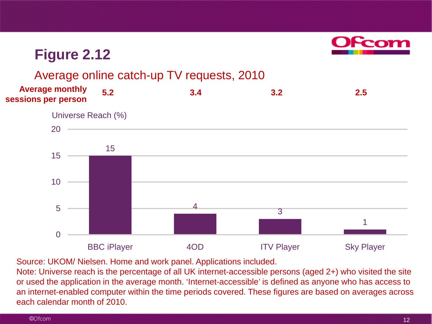

#### Average online catch-up TV requests, 2010

15  $\frac{4}{3}$ 1 0 5 10 15 20 BBC iPlayer **4OD** ITV Player Sky Player **5.2 3.4 3.2 2.5 Average monthly sessions per person** Universe Reach (%)

Source: UKOM/ Nielsen. Home and work panel. Applications included.

Note: Universe reach is the percentage of all UK internet-accessible persons (aged 2+) who visited the site or used the application in the average month. 'Internet-accessible' is defined as anyone who has access to an internet-enabled computer within the time periods covered. These figures are based on averages across each calendar month of 2010.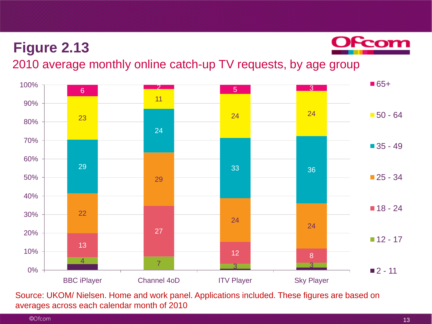

2010 average monthly online catch-up TV requests, by age group



Source: UKOM/ Nielsen. Home and work panel. Applications included. These figures are based on averages across each calendar month of 2010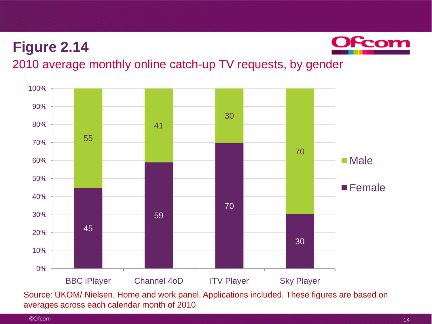

### 2010 average monthly online catch-up TV requests, by gender



Source: UKOM/ Nielsen. Home and work panel. Applications included. These figures are based on averages across each calendar month of 2010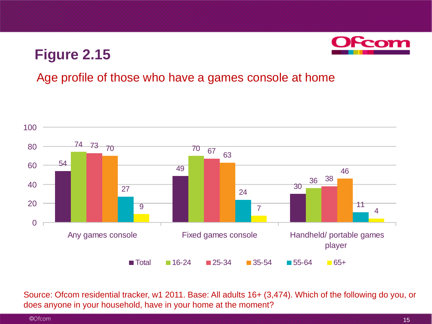

### Age profile of those who have a games console at home



Source: Ofcom residential tracker, w1 2011. Base: All adults 16+ (3,474). Which of the following do you, or does anyone in your household, have in your home at the moment?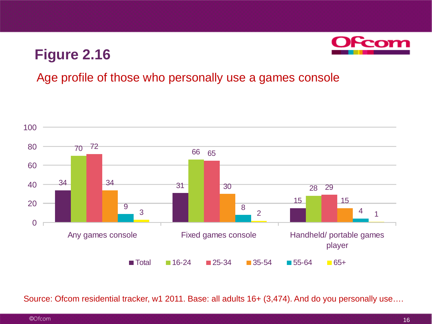

### Age profile of those who personally use a games console



Source: Ofcom residential tracker, w1 2011. Base: all adults 16+ (3,474). And do you personally use....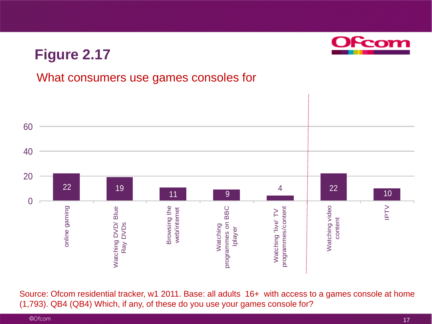

Source: Ofcom residential tracker, w1 2011. Base: all adults 16+ with access to a games console at home (1,793). QB4 (QB4) Which, if any, of these do you use your games console for?

Peo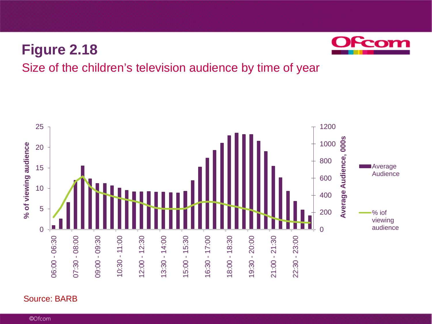

### Size of the children's television audience by time of year



#### Source: BARB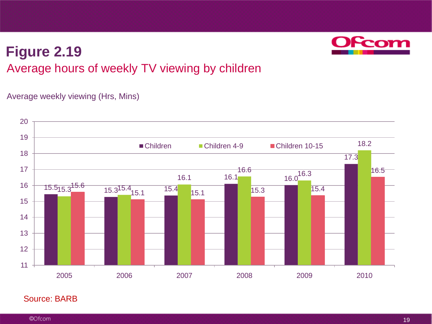## Average hours of weekly TV viewing by children **Figure 2.19**

#### Average weekly viewing (Hrs, Mins)



#### Source: BARB

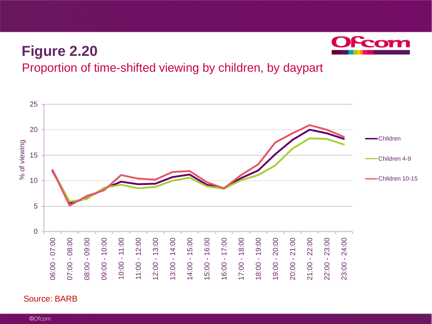

### Proportion of time-shifted viewing by children, by daypart



#### Source: BARB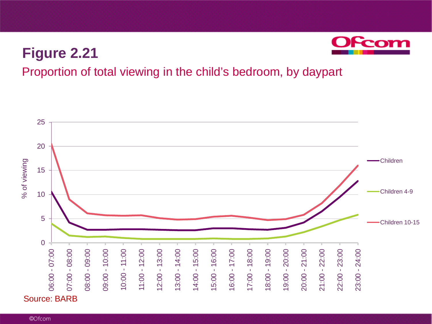

Proportion of total viewing in the child's bedroom, by daypart

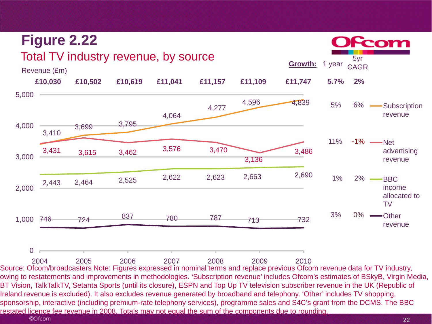

owing to restatements and improvements in methodologies. 'Subscription revenue' includes Ofcom's estimates of BSkyB, Virgin Media, BT Vision, TalkTalkTV, Setanta Sports (until its closure), ESPN and Top Up TV television subscriber revenue in the UK (Republic of Ireland revenue is excluded). It also excludes revenue generated by broadband and telephony. 'Other' includes TV shopping, sponsorship, interactive (including premium-rate telephony services), programme sales and S4C's grant from the DCMS. The BBC restated licence fee revenue in 2008. Totals may not equal the sum of the components due to rounding.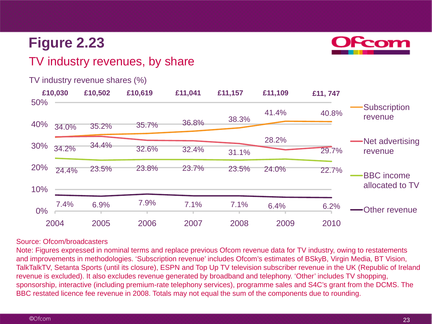

### TV industry revenues, by share

|     | £10,030 | £10,502 | £10,619 | £11,041 | £11,157 | £11,109 | £11,747 |                                |
|-----|---------|---------|---------|---------|---------|---------|---------|--------------------------------|
| 50% |         |         |         |         | 38.3%   | 41.4%   | 40.8%   | <b>Subscription</b><br>revenue |
| 40% | 34.0%   | 35.2%   | 35.7%   | 36.8%   |         |         |         |                                |
| 30% |         | 34.4%   |         | 32.4%   |         | 28.2%   |         | -Net advertising<br>revenue    |
|     | 34.2%   |         | 32.6%   |         | 31.1%   |         | 29.7%   |                                |
| 20% | 24.4%   | 23.5%   | 23.8%   | 23.7%   | 23.5%   | 24.0%   | 22.7%   | <b>BBC</b> income              |
| 10% |         |         |         |         |         |         |         | allocated to TV                |
| 0%  | 7.4%    | 6.9%    | 7.9%    | 7.1%    | 7.1%    | 6.4%    | 6.2%    | Other revenue                  |
|     | 2004    | 2005    | 2006    | 2007    | 2008    | 2009    | 2010    |                                |

#### TV industry revenue shares (%)

#### Source: Ofcom/broadcasters

Note: Figures expressed in nominal terms and replace previous Ofcom revenue data for TV industry, owing to restatements and improvements in methodologies. 'Subscription revenue' includes Ofcom's estimates of BSkyB, Virgin Media, BT Vision, TalkTalkTV, Setanta Sports (until its closure), ESPN and Top Up TV television subscriber revenue in the UK (Republic of Ireland revenue is excluded). It also excludes revenue generated by broadband and telephony. 'Other' includes TV shopping, sponsorship, interactive (including premium-rate telephony services), programme sales and S4C's grant from the DCMS. The BBC restated licence fee revenue in 2008. Totals may not equal the sum of the components due to rounding.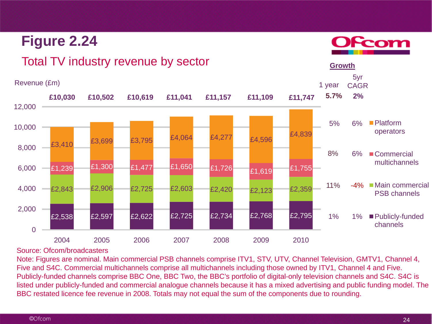#### Revenue (£m) £2,538 £2,597 £2,622 £2,725 £2,734 £2,768 £2,795  $E2,843$   $E2,906$   $E2,725$   $E2,603$   $E2,420$   $E2,123$   $E2,359$ £1,239 £1,300 £1,477 £1,650 £1,726 £1,619 £1,755  $E3,410$   $E3,699$   $E3,795$   $E4,064$   $E4,277$   $E4,596$   $E4,839$  $\Omega$ 2,000 4,000 6,000 8,000 10,000 12,000 2004 2005 2006 2007 2008 2009 2010 **Platform** operators **Commercial** multichannels **Main commercial** PSB channels ■ Publicly-funded channels 5% 11% 6% **2%** -4% 6% 1 year 5yr CAGR 1% **Growth £10,030 £10,502 £10,619 £11,041 £11,157 £11,109** 1% 8% **£11,747 5.7%**

### Total TV industry revenue by sector

Source: Ofcom/broadcasters

**Figure 2.24**

Note: Figures are nominal. Main commercial PSB channels comprise ITV1, STV, UTV, Channel Television, GMTV1, Channel 4, Five and S4C. Commercial multichannels comprise all multichannels including those owned by ITV1, Channel 4 and Five. Publicly-funded channels comprise BBC One, BBC Two, the BBC's portfolio of digital-only television channels and S4C. S4C is listed under publicly-funded and commercial analogue channels because it has a mixed advertising and public funding model. The BBC restated licence fee revenue in 2008. Totals may not equal the sum of the components due to rounding.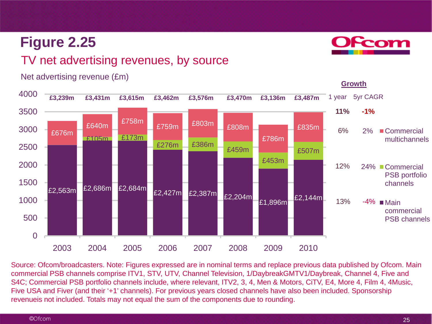### TV net advertising revenues, by source



Net advertising revenue (£m)

Source: Ofcom/broadcasters. Note: Figures expressed are in nominal terms and replace previous data published by Ofcom. Main commercial PSB channels comprise ITV1, STV, UTV, Channel Television, 1/DaybreakGMTV1/Daybreak, Channel 4, Five and S4C; Commercial PSB portfolio channels include, where relevant, ITV2, 3, 4, Men & Motors, CiTV, E4, More 4, Film 4, 4Music, Five USA and Fiver (and their '+1' channels). For previous years closed channels have also been included. Sponsorship revenueis not included. Totals may not equal the sum of the components due to rounding.

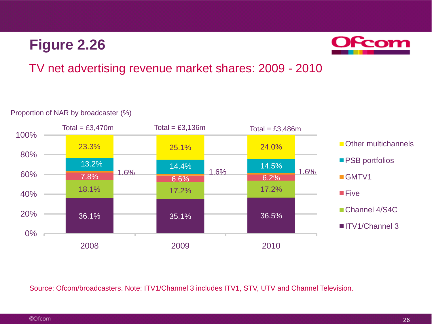

### TV net advertising revenue market shares: 2009 - 2010

#### 36.1% 35.1% 36.5% 18.1% 17.2% 17.2% 7.8% 6.6% 6.2% 1.6% 1.6% 1.6% 13.2% 14.4% 14.5% 23.3% 25.1% 24.0% 0% 20% 40% 60% 80% 100% 2008 2009 2010 Other multichannels **PSB** portfolios GMTV1 **Five** Channel 4/S4C **I**ITV1/Channel 3  $Total = £3,470m$   $Total = £3,136m$   $Total = £3,486m$

#### Proportion of NAR by broadcaster (%)

Source: Ofcom/broadcasters. Note: ITV1/Channel 3 includes ITV1, STV, UTV and Channel Television.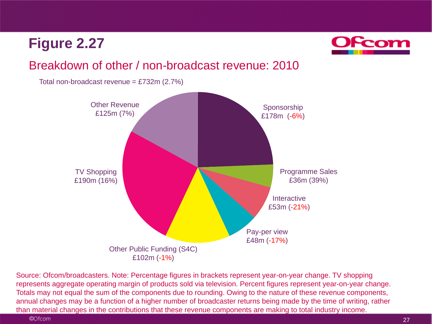

### Breakdown of other / non-broadcast revenue: 2010

Total non-broadcast revenue =  $£732m (2.7%)$ 



Source: Ofcom/broadcasters. Note: Percentage figures in brackets represent year-on-year change. TV shopping represents aggregate operating margin of products sold via television. Percent figures represent year-on-year change. Totals may not equal the sum of the components due to rounding. Owing to the nature of these revenue components, annual changes may be a function of a higher number of broadcaster returns being made by the time of writing, rather than material changes in the contributions that these revenue components are making to total industry income.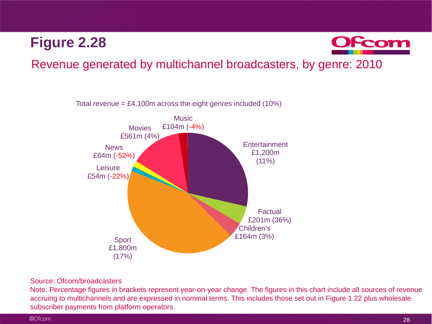

Revenue generated by multichannel broadcasters, by genre: 2010



#### Source: Ofcom/broadcasters

Note: Percentage figures in brackets represent year-on-year change. The figures in this chart include all sources of revenue accruing to multichannels and are expressed in nominal terms. This includes those set out in Figure 1.22 plus wholesale subscriber payments from platform operators.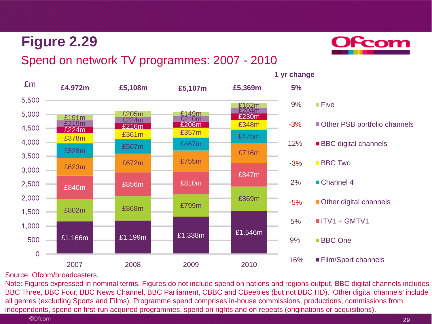

### Spend on network TV programmes: 2007 - 2010



#### Source: Ofcom/broadcasters.

Note: Figures expressed in nominal terms. Figures do not include spend on nations and regions output. BBC digital channels includes BBC Three, BBC Four, BBC News Channel, BBC Parliament, CBBC and CBeebies (but not BBC HD). 'Other digital channels' include all genres (excluding Sports and Films). Programme spend comprises in-house commissions, productions, commissions from independents, spend on first-run acquired programmes, spend on rights and on repeats (originations or acquisitions).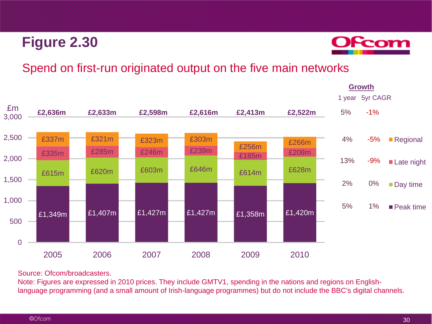

### Spend on first-run originated output on the five main networks



Source: Ofcom/broadcasters.

Note: Figures are expressed in 2010 prices. They include GMTV1, spending in the nations and regions on Englishlanguage programming (and a small amount of Irish-language programmes) but do not include the BBC's digital channels.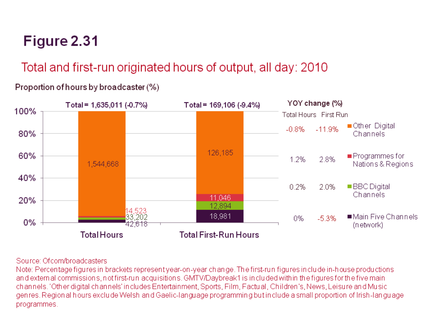# Total and first-run originated hours of output, all day: 2010

#### YOY change (%) Total = 1,635,011 (-0.7%) Total = 169,106 (-9.4%) 100% **Total Hours** First Run ■Other Digital  $-11.9%$  $-0.8%$  $80%$ Channels 126,185 60% ■Programmes for 2.8% 1.2% Nations & Regions 1,544,668 40% 0.2% 2.0% ■ BBC Digital Channels 11,046 20% 12,894 .523 18,981 ■Main Five Channels 202  $-5.3%$ 0%  $0%$ 42.618 (network) **Total Hours Total First-Run Hours**

## Proportion of hours by broadcaster (%)

#### Source: Of com/broadcasters

Note: Percentage figures in brackets represent year-on-year change. The first-run figures include in-house productions and external commissions, not first-run acquisitions. GMTV/Daybreak1 is included within the figures for the five main channels. 'Other digital channels' includes Entertainment, Sports, Film, Factual, Children's, News, Leisure and Music genres. Regional hours exclude Welsh and Gaelic-language programming but include a small proportion of Irish-language programmes.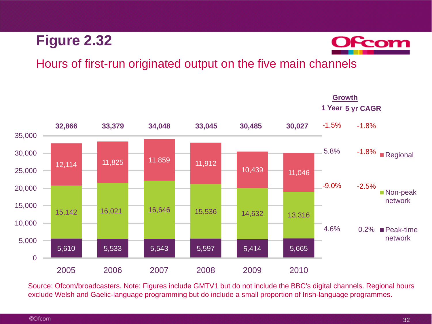

### Hours of first-run originated output on the five main channels



Source: Ofcom/broadcasters. Note: Figures include GMTV1 but do not include the BBC's digital channels. Regional hours exclude Welsh and Gaelic-language programming but do include a small proportion of Irish-language programmes.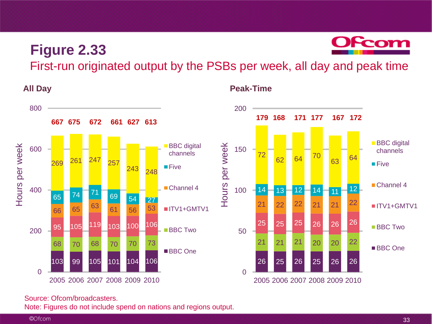

First-run originated output by the PSBs per week, all day and peak time

**Peak-Time**

**All Day**



#### Source: Ofcom/broadcasters.

Note: Figures do not include spend on nations and regions output.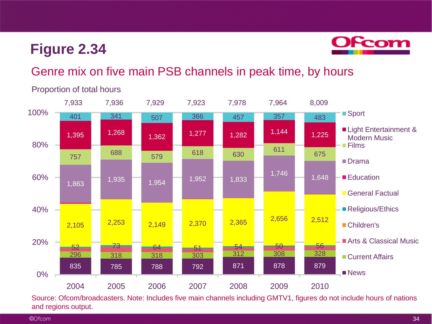

### Genre mix on five main PSB channels in peak time, by hours



Proportion of total hours

Source: Ofcom/broadcasters. Note: Includes five main channels including GMTV1, figures do not include hours of nations and regions output.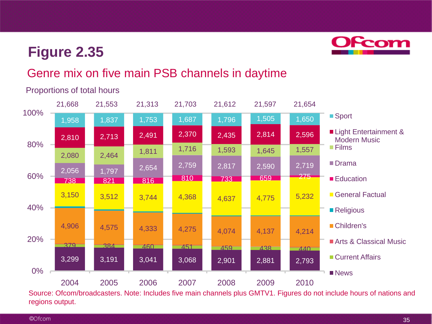

### Genre mix on five main PSB channels in daytime



#### Proportions of total hours

Source: Ofcom/broadcasters. Note: Includes five main channels plus GMTV1. Figures do not include hours of nations and regions output.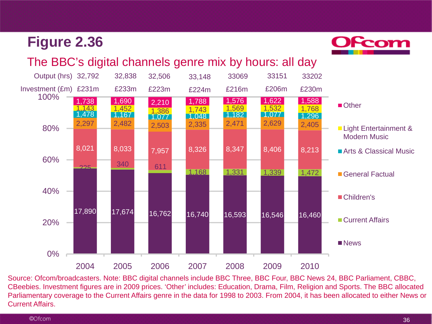

#### The BBC's digital channels genre mix by hours: all day



Source: Ofcom/broadcasters. Note: BBC digital channels include BBC Three, BBC Four, BBC News 24, BBC Parliament, CBBC, CBeebies. Investment figures are in 2009 prices. 'Other' includes: Education, Drama, Film, Religion and Sports. The BBC allocated Parliamentary coverage to the Current Affairs genre in the data for 1998 to 2003. From 2004, it has been allocated to either News or Current Affairs.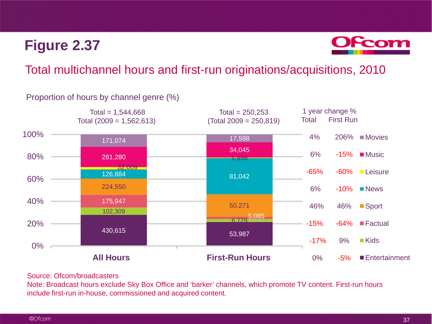

#### Total multichannel hours and first-run originations/acquisitions, 2010

# Proportion of hours by channel genre (%)



#### Source: Ofcom/broadcasters

Note: Broadcast hours exclude Sky Box Office and 'barker' channels, which promote TV content. First-run hours include first-run in-house, commissioned and acquired content.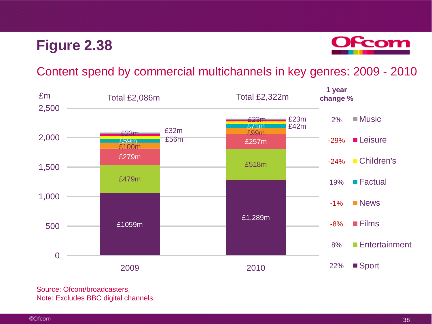

#### Content spend by commercial multichannels in key genres: 2009 - 2010



Source: Ofcom/broadcasters. Note: Excludes BBC digital channels.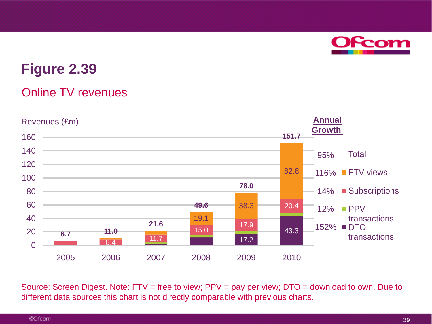

#### Online TV revenues



Source: Screen Digest. Note: FTV = free to view; PPV = pay per view; DTO = download to own. Due to different data sources this chart is not directly comparable with previous charts.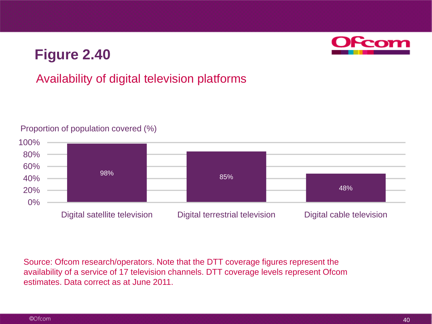### Availability of digital television platforms



#### Proportion of population covered (%)

Source: Ofcom research/operators. Note that the DTT coverage figures represent the availability of a service of 17 television channels. DTT coverage levels represent Ofcom estimates. Data correct as at June 2011.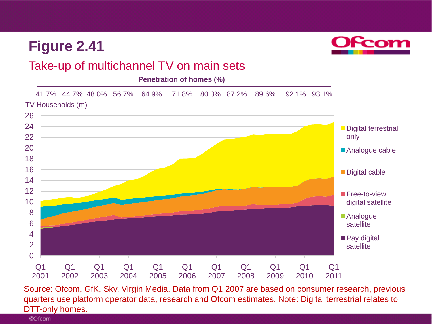

#### Take-up of multichannel TV on main sets

**Penetration of homes (%)**



Source: Ofcom, GfK, Sky, Virgin Media. Data from Q1 2007 are based on consumer research, previous quarters use platform operator data, research and Ofcom estimates. Note: Digital terrestrial relates to DTT-only homes.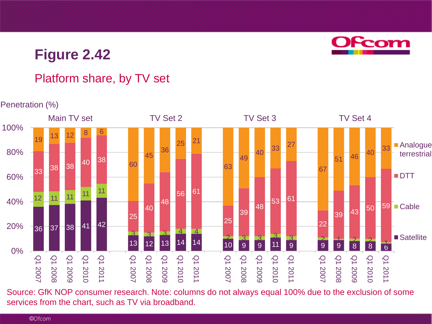

### Platform share, by TV set

#### Penetration (%)



Source: GfK NOP consumer research. Note: columns do not always equal 100% due to the exclusion of some services from the chart, such as TV via broadband.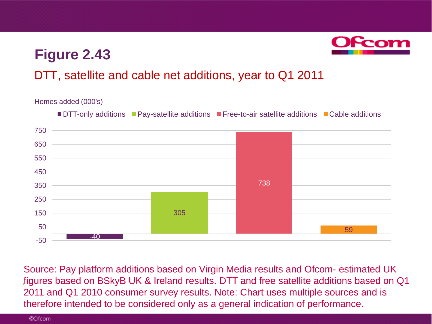

### DTT, satellite and cable net additions, year to Q1 2011

#### Homes added (000's)



\* Source: Pay platform additions based on Virgin Media results and Ofcom- estimated UK figures based on BSkyB UK & Ireland results. DTT and free satellite additions based on Q1 2011 and Q1 2010 consumer survey results. Note: Chart uses multiple sources and is therefore intended to be considered only as a general indication of performance.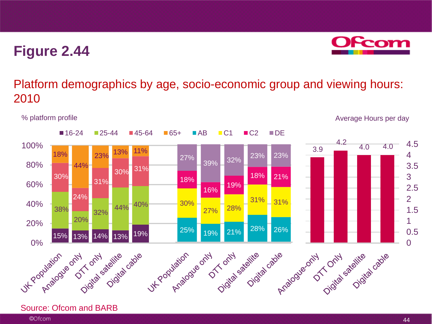

### Platform demographics by age, socio-economic group and viewing hours: 2010



#### Source: Ofcom and BARB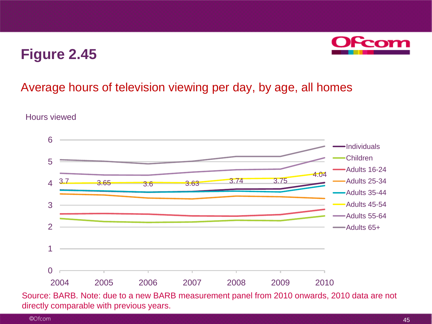

### Average hours of television viewing per day, by age, all homes



Hours viewed

Source: BARB. Note: due to a new BARB measurement panel from 2010 onwards, 2010 data are not directly comparable with previous years.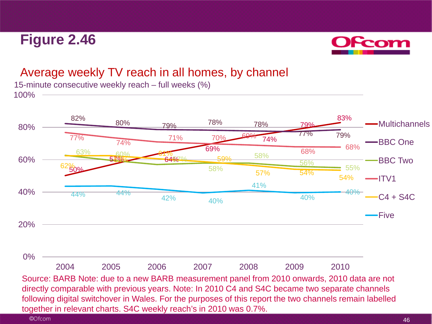

### Average weekly TV reach in all homes, by channel

100% 15-minute consecutive weekly reach – full weeks (%)



directly comparable with previous years. Note: In 2010 C4 and S4C became two separate channels following digital switchover in Wales. For the purposes of this report the two channels remain labelled together in relevant charts. S4C weekly reach's in 2010 was 0.7%.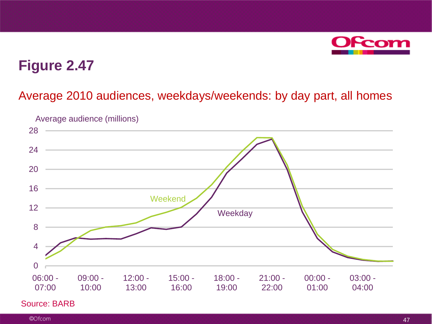

#### Average 2010 audiences, weekdays/weekends: by day part, all homes



#### Source: BARB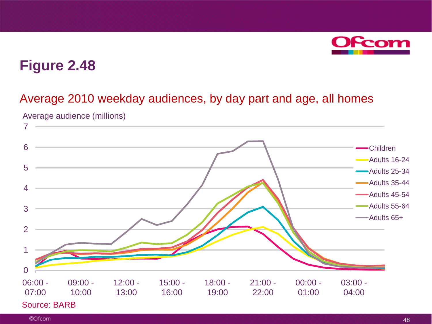

### Average 2010 weekday audiences, by day part and age, all homes

Average audience (millions)

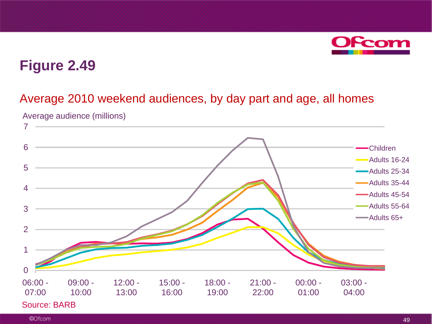

#### Average 2010 weekend audiences, by day part and age, all homes

Average audience (millions)

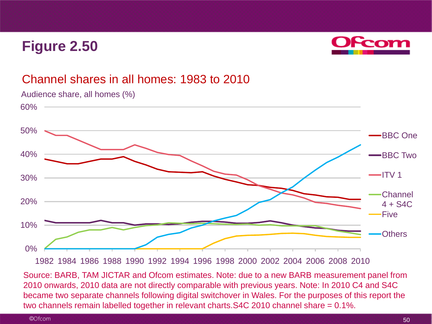

#### Channel shares in all homes: 1983 to 2010



Audience share, all homes (%)

Source: BARB, TAM JICTAR and Ofcom estimates. Note: due to a new BARB measurement panel from 2010 onwards, 2010 data are not directly comparable with previous years. Note: In 2010 C4 and S4C became two separate channels following digital switchover in Wales. For the purposes of this report the two channels remain labelled together in relevant charts.S4C 2010 channel share = 0.1%.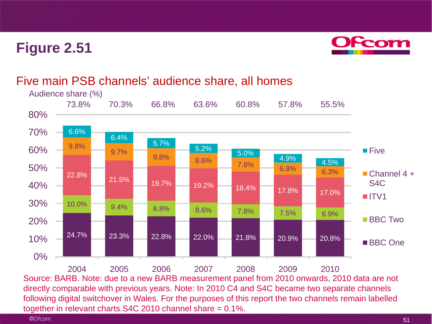

#### Five main PSB channels' audience share, all homes

together in relevant charts.S4C 2010 channel share = 0.1%.

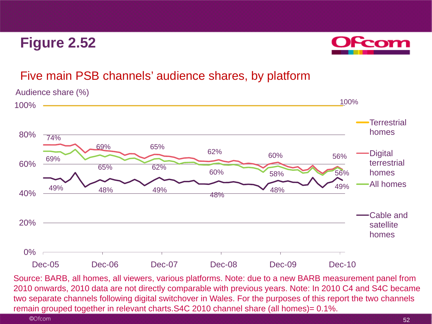

### Five main PSB channels' audience shares, by platform



Source: BARB, all homes, all viewers, various platforms. Note: due to a new BARB measurement panel from 2010 onwards, 2010 data are not directly comparable with previous years. Note: In 2010 C4 and S4C became two separate channels following digital switchover in Wales. For the purposes of this report the two channels remain grouped together in relevant charts.S4C 2010 channel share (all homes)= 0.1%.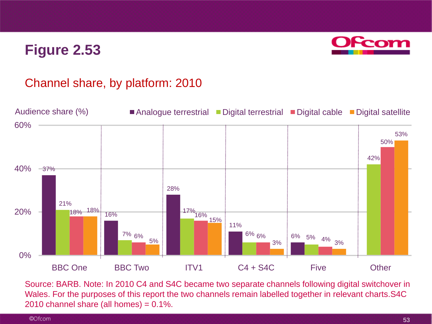

### Channel share, by platform: 2010



Source: BARB. Note: In 2010 C4 and S4C became two separate channels following digital switchover in Wales. For the purposes of this report the two channels remain labelled together in relevant charts.S4C 2010 channel share (all homes) =  $0.1\%$ .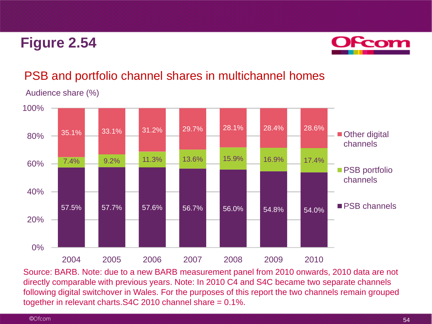

### PSB and portfolio channel shares in multichannel homes

Audience share (%)



Source: BARB. Note: due to a new BARB measurement panel from 2010 onwards, 2010 data are not directly comparable with previous years. Note: In 2010 C4 and S4C became two separate channels following digital switchover in Wales. For the purposes of this report the two channels remain grouped together in relevant charts.S4C 2010 channel share = 0.1%.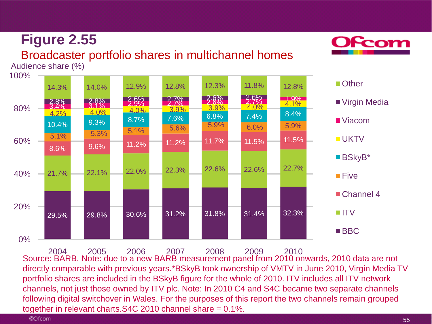

### Broadcaster portfolio shares in multichannel homes

Audience share (%)



Source: BARB. Note: due to a new BARB measurement panel from 2010 onwards, 2010 data are not directly comparable with previous years.\*BSkyB took ownership of VMTV in June 2010, Virgin Media TV portfolio shares are included in the BSkyB figure for the whole of 2010. ITV includes all ITV network channels, not just those owned by ITV plc. Note: In 2010 C4 and S4C became two separate channels following digital switchover in Wales. For the purposes of this report the two channels remain grouped together in relevant charts.S4C 2010 channel share = 0.1%. 2004 2005 2006 2007 2008 2009 2010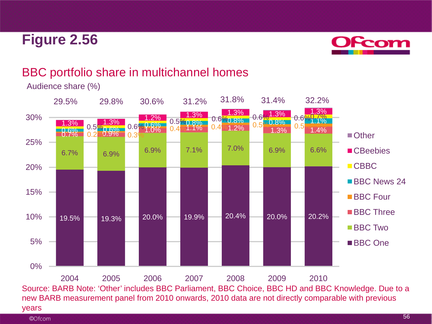

### BBC portfolio share in multichannel homes



Audience share (%)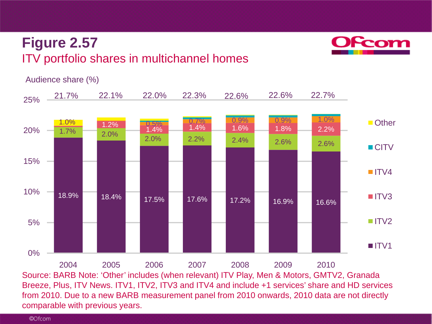## **Figure 2.57** ITV portfolio shares in multichannel homes



Audience share (%)



Source: BARB Note: 'Other' includes (when relevant) ITV Play, Men & Motors, GMTV2, Granada Breeze, Plus, ITV News. ITV1, ITV2, ITV3 and ITV4 and include +1 services' share and HD services from 2010. Due to a new BARB measurement panel from 2010 onwards, 2010 data are not directly comparable with previous years.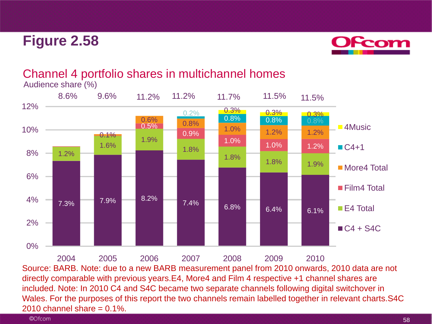

#### Channel 4 portfolio shares in multichannel homes Audience share (%)

 $7.3\%$  7.9% 8.2% 7.4% 6.8% 6.4% 6.1% 1.2% 1.6% 1.9% 1.8%  $\begin{array}{|c|c|c|c|}\n \hline\n 1.8\% & 1.8\% & 1.9\% \hline\n \end{array}$ 0.5% 0.6% 0.8% 0.9% 1.0% 1.0% 1.2%  $0.1%$  $\begin{array}{|c|c|c|c|c|}\hline 1.0\% & - & 1.2\% \ \hline \end{array}$  1.2% 0.2%  $\frac{0.3\%}{0.8\%}$  0.8% 0.8%  $0.3\%$  0.3% 0% 2% 4% 6% 8% 10% 12% ■4Music  $C4+1$ **More4 Total** ■ Film4 Total ■ E4 Total  $C4 + S4C$ 8.6% 9.6% 11.2% 11.2% 11.7% 11.5% 11.5%

Source: BARB. Note: due to a new BARB measurement panel from 2010 onwards, 2010 data are not directly comparable with previous years.E4, More4 and Film 4 respective +1 channel shares are included. Note: In 2010 C4 and S4C became two separate channels following digital switchover in Wales. For the purposes of this report the two channels remain labelled together in relevant charts.S4C  $2010$  channel share =  $0.1\%$ . 2004 2005 2006 2007 2008 2009 2010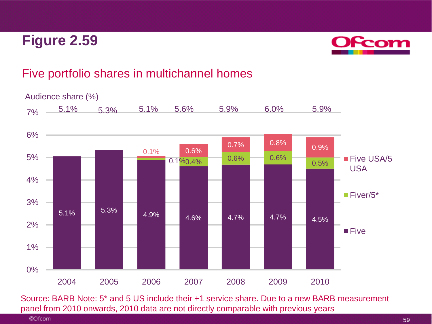

### Five portfolio shares in multichannel homes



Source: BARB Note: 5\* and 5 US include their +1 service share. Due to a new BARB measurement panel from 2010 onwards, 2010 data are not directly comparable with previous years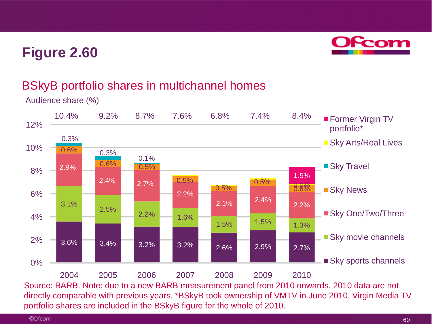

### BSkyB portfolio shares in multichannel homes

Audience share (%)



directly comparable with previous years. \*BSkyB took ownership of VMTV in June 2010, Virgin Media TV portfolio shares are included in the BSkyB figure for the whole of 2010.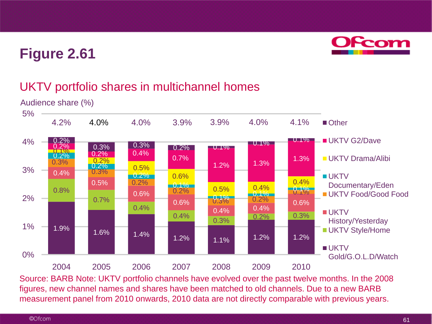

### UKTV portfolio shares in multichannel homes



Source: BARB Note: UKTV portfolio channels have evolved over the past twelve months. In the 2008 figures, new channel names and shares have been matched to old channels. Due to a new BARB measurement panel from 2010 onwards, 2010 data are not directly comparable with previous years.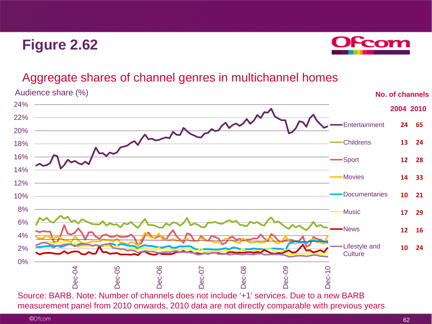

#### Aggregate shares of channel genres in multichannel homes

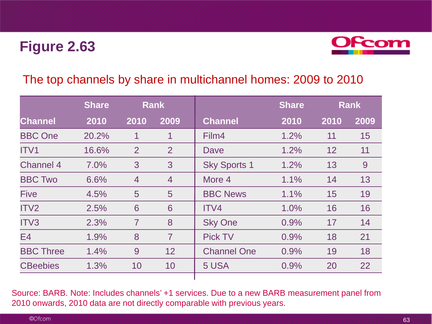

#### The top channels by share in multichannel homes: 2009 to 2010

|                  | <b>Share</b> | <b>Rank</b>     |                 |                     | <b>Share</b> | <b>Rank</b> |      |
|------------------|--------------|-----------------|-----------------|---------------------|--------------|-------------|------|
| <b>Channel</b>   | 2010         | 2010            | 2009            | <b>Channel</b>      | 2010         | 2010        | 2009 |
| <b>BBC One</b>   | 20.2%        | 1               | 1               | Film4               | 1.2%         | 11          | 15   |
| ITV <sub>1</sub> | 16.6%        | 2               | 2               | Dave                | 1.2%         | 12          | 11   |
| <b>Channel 4</b> | 7.0%         | 3               | 3               | <b>Sky Sports 1</b> | 1.2%         | 13          | 9    |
| <b>BBC Two</b>   | 6.6%         | $\overline{4}$  | $\overline{4}$  | More 4              | 1.1%         | 14          | 13   |
| <b>Five</b>      | 4.5%         | $5\overline{)}$ | $5\phantom{1}$  | <b>BBC News</b>     | 1.1%         | 15          | 19   |
| ITV2             | 2.5%         | 6               | 6               | ITV4                | 1.0%         | 16          | 16   |
| ITV3             | 2.3%         | $\overline{7}$  | 8               | <b>Sky One</b>      | 0.9%         | 17          | 14   |
| E4               | 1.9%         | 8               | $\overline{7}$  | <b>Pick TV</b>      | 0.9%         | 18          | 21   |
| <b>BBC Three</b> | 1.4%         | 9               | 12 <sup>2</sup> | <b>Channel One</b>  | 0.9%         | 19          | 18   |
| <b>CBeebies</b>  | 1.3%         | 10              | 10              | 5 USA               | 0.9%         | 20          | 22   |
|                  |              |                 |                 |                     |              |             |      |

Source: BARB. Note: Includes channels' +1 services. Due to a new BARB measurement panel from 2010 onwards, 2010 data are not directly comparable with previous years.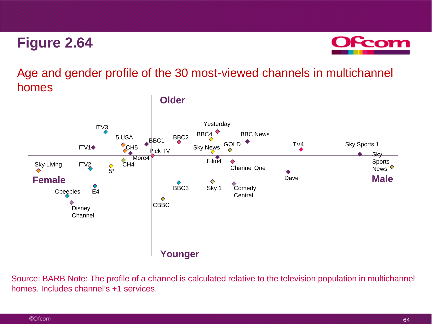

Age and gender profile of the 30 most-viewed channels in multichannel homes



Source: BARB Note: The profile of a channel is calculated relative to the television population in multichannel homes. Includes channel's +1 services.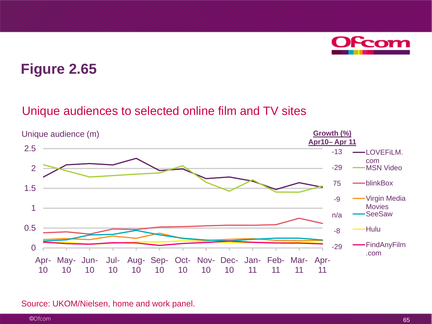

#### Unique audiences to selected online film and TV sites



#### Source: UKOM/Nielsen, home and work panel.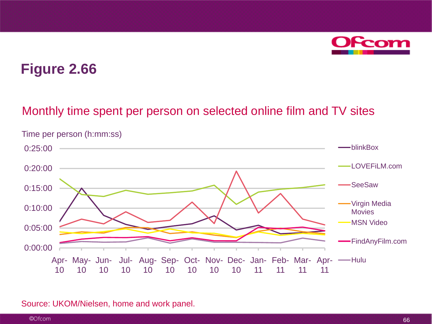

#### Monthly time spent per person on selected online film and TV sites



Time per person (h:mm:ss)

#### Source: UKOM/Nielsen, home and work panel.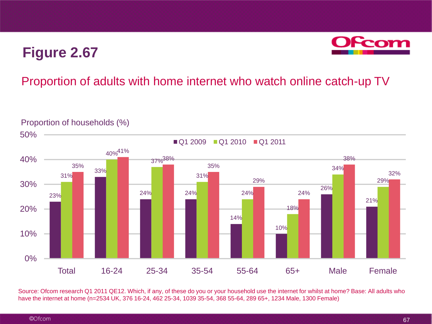

### Proportion of adults with home internet who watch online catch-up TV



Proportion of households (%)

Source: Ofcom research Q1 2011 QE12. Which, if any, of these do you or your household use the internet for whilst at home? Base: All adults who have the internet at home (n=2534 UK, 376 16-24, 462 25-34, 1039 35-54, 368 55-64, 289 65+, 1234 Male, 1300 Female)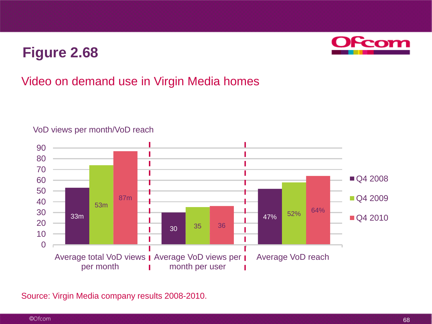

### Video on demand use in Virgin Media homes



#### VoD views per month/VoD reach

Source: Virgin Media company results 2008-2010.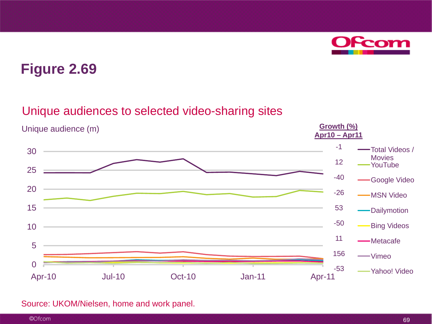

#### Unique audiences to selected video-sharing sites



#### Source: UKOM/Nielsen, home and work panel.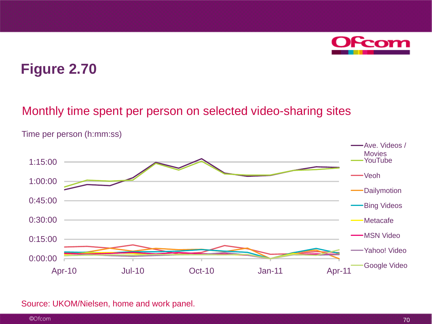

#### Monthly time spent per person on selected video-sharing sites



Time per person (h:mm:ss)

#### Source: UKOM/Nielsen, home and work panel.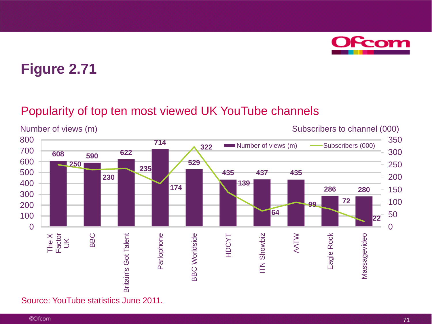

#### Popularity of top ten most viewed UK YouTube channels

Number of views (m)  $\qquad \qquad$  Subscribers to channel (000) 800 350 **714** Number of views (m) - Subscribers (000) **322** 700 300 **<sup>608</sup> <sup>590</sup> <sup>622</sup>** 600 **529 250** 250 **235** 500 **435 437 435 230** 200 400 **139 174 286 280** 150 300 **<sup>99</sup> <sup>72</sup>** 100 200 **64** 50 100 **22** 0  $\Omega$ The X Factor AATW BBC **Britain's Got Talent** Parlophone **BBC Worldside** HDCYT **ITN Showbiz** Eagle Rock Massagevideo Britain's Got Talent Parlophone BBC Worldside ITN Showbiz Eagle Rock Massagevideo  $\breve{\preceq}$ 

Source: YouTube statistics June 2011.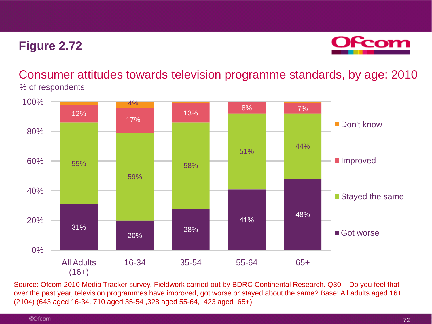## **Figure 2.72**



Consumer attitudes towards television programme standards, by age: 2010 % of respondents



Source: Ofcom 2010 Media Tracker survey. Fieldwork carried out by BDRC Continental Research. Q30 – Do you feel that over the past year, television programmes have improved, got worse or stayed about the same? Base: All adults aged 16+ (2104) (643 aged 16-34, 710 aged 35-54 ,328 aged 55-64, 423 aged 65+)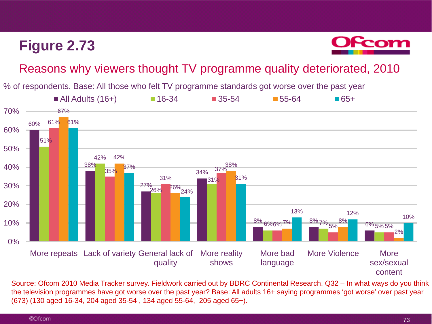## **Figure 2.73**



## Reasons why viewers thought TV programme quality deteriorated, 2010

% of respondents. Base: All those who felt TV programme standards got worse over the past year



Source: Ofcom 2010 Media Tracker survey. Fieldwork carried out by BDRC Continental Research. Q32 – In what ways do you think the television programmes have got worse over the past year? Base: All adults 16+ saying programmes 'got worse' over past year (673) (130 aged 16-34, 204 aged 35-54 , 134 aged 55-64, 205 aged 65+).